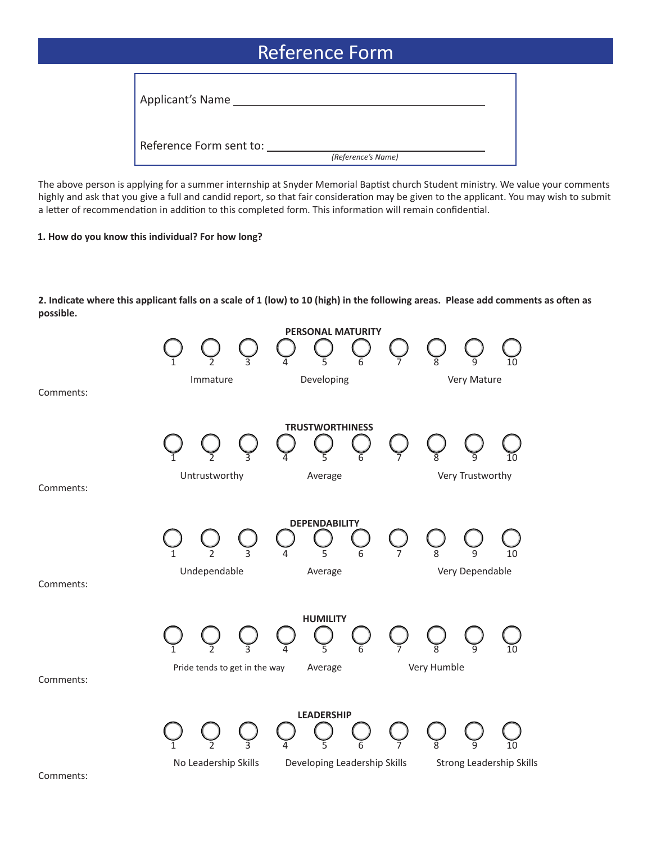## Reference Form

| Applicant's Name        |                    |  |
|-------------------------|--------------------|--|
| Reference Form sent to: | (Reference's Name) |  |

The above person is applying for a summer internship at Snyder Memorial Baptist church Student ministry. We value your comments highly and ask that you give a full and candid report, so that fair consideration may be given to the applicant. You may wish to submit a letter of recommendation in addition to this completed form. This information will remain confidential.

## **1. How do you know this individual? For how long?**

**2. Indicate where this applicant falls on a scale of 1 (low) to 10 (high) in the following areas. Please add comments as often as possible.**